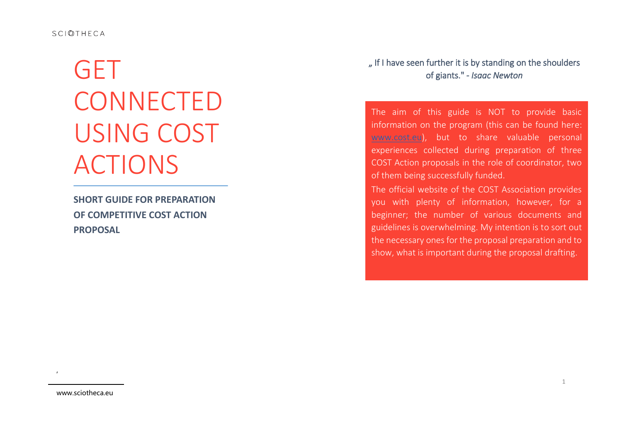# **GET CONNECTED** USING COST ACTIONS

**SHORT GUIDE FOR PREPARATION OF COMPETITIVE COST ACTION PROPOSAL**

... If I have seen further it is by standing on the shoulders of giants." - *Isaac Newton*

The aim of this guide is NOT to provide basic information on the program (this can be found here: [www.cost.eu\)](www.cost.eu), but to share valuable personal experiences collected during preparation of three COST Action proposals in the role of coordinator, two of them being successfully funded.

The official website of the COST Association provides you with plenty of information, however, for a beginner; the number of various documents and guidelines is overwhelming. My intention is to sort out the necessary ones for the proposal preparation and to show, what is important during the proposal drafting.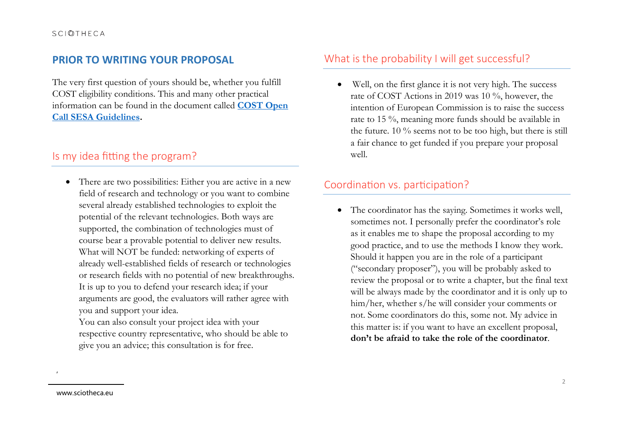## **PRIOR TO WRITING YOUR PROPOSAL**

The very first question of yours should be, whether you fulfill COST eligibility conditions. This and many other practical information can be found in the document called **[COST Open](https://www.cost.eu/funding/how-to-get-funding/documents-and-guidelines/)  [Call SESA Guidelines.](https://www.cost.eu/funding/how-to-get-funding/documents-and-guidelines/)** 

# Is my idea fitting the program?

• There are two possibilities: Either you are active in a new field of research and technology or you want to combine several already established technologies to exploit the potential of the relevant technologies. Both ways are supported, the combination of technologies must of course bear a provable potential to deliver new results. What will NOT be funded: networking of experts of already well-established fields of research or technologies or research fields with no potential of new breakthroughs. It is up to you to defend your research idea; if your arguments are good, the evaluators will rather agree with you and support your idea.

You can also consult your project idea with your respective country representative, who should be able to give you an advice; this consultation is for free.

# What is the probability I will get successful?

 Well, on the first glance it is not very high. The success rate of COST Actions in 2019 was 10 %, however, the intention of European Commission is to raise the success rate to 15 %, meaning more funds should be available in the future. 10 % seems not to be too high, but there is still a fair chance to get funded if you prepare your proposal well.

## Coordination vs. participation?

 The coordinator has the saying. Sometimes it works well, sometimes not. I personally prefer the coordinator's role as it enables me to shape the proposal according to my good practice, and to use the methods I know they work. Should it happen you are in the role of a participant ("secondary proposer"), you will be probably asked to review the proposal or to write a chapter, but the final text will be always made by the coordinator and it is only up to him/her, whether s/he will consider your comments or not. Some coordinators do this, some not. My advice in this matter is: if you want to have an excellent proposal, **don't be afraid to take the role of the coordinator**.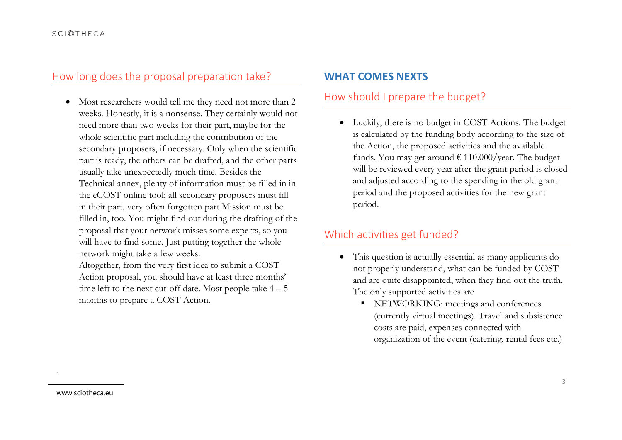#### **SCIOTHECA**

## How long does the proposal preparation take?

 Most researchers would tell me they need not more than 2 weeks. Honestly, it is a nonsense. They certainly would not need more than two weeks for their part, maybe for the whole scientific part including the contribution of the secondary proposers, if necessary. Only when the scientific part is ready, the others can be drafted, and the other parts usually take unexpectedly much time. Besides the Technical annex, plenty of information must be filled in in the eCOST online tool; all secondary proposers must fill in their part, very often forgotten part Mission must be filled in, too. You might find out during the drafting of the proposal that your network misses some experts, so you will have to find some. Just putting together the whole network might take a few weeks.

Altogether, from the very first idea to submit a COST Action proposal, you should have at least three months' time left to the next cut-off date. Most people take  $4 - 5$ months to prepare a COST Action.

#### **WHAT COMES NEXTS**

## How should I prepare the budget?

 Luckily, there is no budget in COST Actions. The budget is calculated by the funding body according to the size of the Action, the proposed activities and the available funds. You may get around  $\text{\textsterling} 110.000/\text{year}$ . The budget will be reviewed every year after the grant period is closed and adjusted according to the spending in the old grant period and the proposed activities for the new grant period.

## Which activities get funded?

- This question is actually essential as many applicants do not properly understand, what can be funded by COST and are quite disappointed, when they find out the truth. The only supported activities are
	- NETWORKING: meetings and conferences (currently virtual meetings). Travel and subsistence costs are paid, expenses connected with organization of the event (catering, rental fees etc.)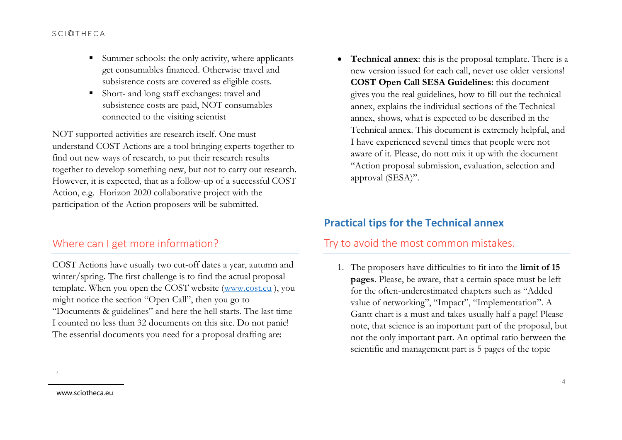#### **SCIOTHECA**

- $\blacksquare$  Summer schools: the only activity, where applicants get consumables financed. Otherwise travel and subsistence costs are covered as eligible costs.
- Short- and long staff exchanges: travel and subsistence costs are paid, NOT consumables connected to the visiting scientist

NOT supported activities are research itself. One must understand COST Actions are a tool bringing experts together to find out new ways of research, to put their research results together to develop something new, but not to carry out research. However, it is expected, that as a follow-up of a successful COST Action, e.g. Horizon 2020 collaborative project with the participation of the Action proposers will be submitted.

## Where can I get more information?

COST Actions have usually two cut-off dates a year, autumn and winter/spring. The first challenge is to find the actual proposal template. When you open the COST website [\(www.cost.eu](http://www.cost.eu/) ), you might notice the section "Open Call", then you go to "Documents & guidelines" and here the hell starts. The last time I counted no less than 32 documents on this site. Do not panic! The essential documents you need for a proposal drafting are:

 **Technical annex**: this is the proposal template. There is a new version issued for each call, never use older versions! **COST Open Call SESA Guidelines**: this document gives you the real guidelines, how to fill out the technical annex, explains the individual sections of the Technical annex, shows, what is expected to be described in the Technical annex. This document is extremely helpful, and I have experienced several times that people were not aware of it. Please, do nott mix it up with the document "Action proposal submission, evaluation, selection and approval (SESA)".

# **Practical tips for the Technical annex**

## Try to avoid the most common mistakes.

1. The proposers have difficulties to fit into the **limit of 15 pages**. Please, be aware, that a certain space must be left for the often-underestimated chapters such as "Added value of networking", "Impact", "Implementation". A Gantt chart is a must and takes usually half a page! Please note, that science is an important part of the proposal, but not the only important part. An optimal ratio between the scientific and management part is 5 pages of the topic

www.sciotheca.eu